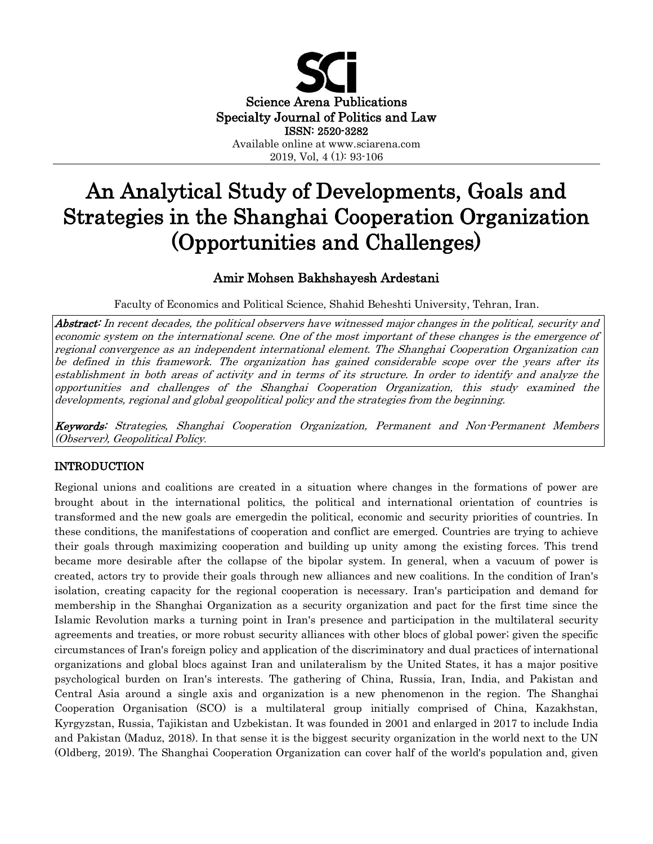

# An Analytical Study of Developments, Goals and Strategies in the Shanghai Cooperation Organization (Opportunities and Challenges)

## Amir Mohsen Bakhshayesh Ardestani

Faculty of Economics and Political Science, Shahid Beheshti University, Tehran, Iran.

Abstract: In recent decades, the political observers have witnessed major changes in the political, security and economic system on the international scene. One of the most important of these changes is the emergence of regional convergence as an independent international element. The Shanghai Cooperation Organization can be defined in this framework. The organization has gained considerable scope over the years after its establishment in both areas of activity and in terms of its structure. In order to identify and analyze the opportunities and challenges of the Shanghai Cooperation Organization, this study examined the developments, regional and global geopolitical policy and the strategies from the beginning.

Keywords: Strategies, Shanghai Cooperation Organization, Permanent and Non-Permanent Members (Observer), Geopolitical Policy.

## INTRODUCTION

Regional unions and coalitions are created in a situation where changes in the formations of power are brought about in the international politics, the political and international orientation of countries is transformed and the new goals are emergedin the political, economic and security priorities of countries. In these conditions, the manifestations of cooperation and conflict are emerged. Countries are trying to achieve their goals through maximizing cooperation and building up unity among the existing forces. This trend became more desirable after the collapse of the bipolar system. In general, when a vacuum of power is created, actors try to provide their goals through new alliances and new coalitions. In the condition of Iran's isolation, creating capacity for the regional cooperation is necessary. Iran's participation and demand for membership in the Shanghai Organization as a security organization and pact for the first time since the Islamic Revolution marks a turning point in Iran's presence and participation in the multilateral security agreements and treaties, or more robust security alliances with other blocs of global power; given the specific circumstances of Iran's foreign policy and application of the discriminatory and dual practices of international organizations and global blocs against Iran and unilateralism by the United States, it has a major positive psychological burden on Iran's interests. The gathering of China, Russia, Iran, India, and Pakistan and Central Asia around a single axis and organization is a new phenomenon in the region. The Shanghai Cooperation Organisation (SCO) is a multilateral group initially comprised of China, Kazakhstan, Kyrgyzstan, Russia, Tajikistan and Uzbekistan. It was founded in 2001 and enlarged in 2017 to include India and Pakistan (Maduz, 2018). In that sense it is the biggest security organization in the world next to the UN (Oldberg, 2019). The Shanghai Cooperation Organization can cover half of the world's population and, given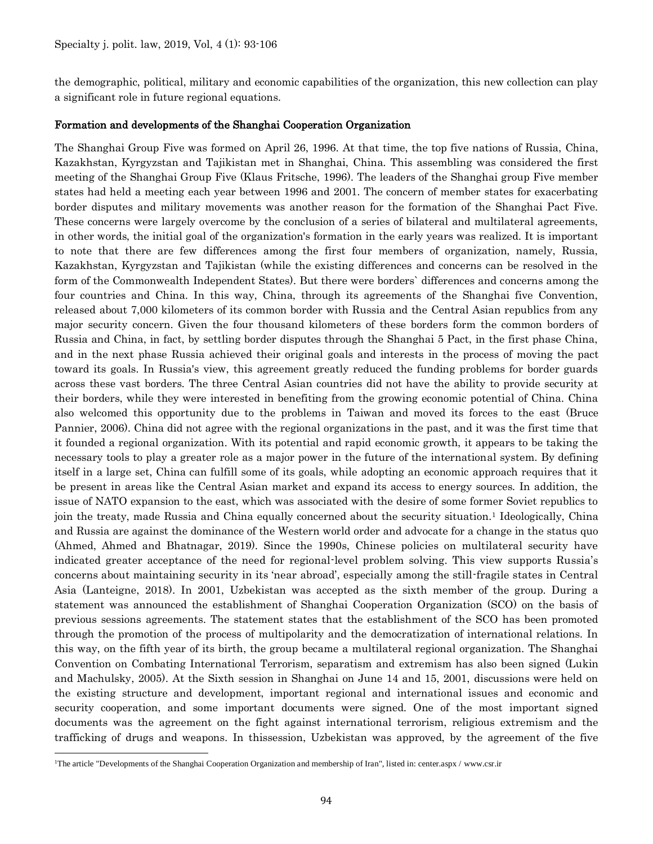the demographic, political, military and economic capabilities of the organization, this new collection can play a significant role in future regional equations.

#### Formation and developments of the Shanghai Cooperation Organization

The Shanghai Group Five was formed on April 26, 1996. At that time, the top five nations of Russia, China, Kazakhstan, Kyrgyzstan and Tajikistan met in Shanghai, China. This assembling was considered the first meeting of the Shanghai Group Five (Klaus Fritsche, 1996). The leaders of the Shanghai group Five member states had held a meeting each year between 1996 and 2001. The concern of member states for exacerbating border disputes and military movements was another reason for the formation of the Shanghai Pact Five. These concerns were largely overcome by the conclusion of a series of bilateral and multilateral agreements, in other words, the initial goal of the organization's formation in the early years was realized. It is important to note that there are few differences among the first four members of organization, namely, Russia, Kazakhstan, Kyrgyzstan and Tajikistan (while the existing differences and concerns can be resolved in the form of the Commonwealth Independent States). But there were borders` differences and concerns among the four countries and China. In this way, China, through its agreements of the Shanghai five Convention, released about 7,000 kilometers of its common border with Russia and the Central Asian republics from any major security concern. Given the four thousand kilometers of these borders form the common borders of Russia and China, in fact, by settling border disputes through the Shanghai 5 Pact, in the first phase China, and in the next phase Russia achieved their original goals and interests in the process of moving the pact toward its goals. In Russia's view, this agreement greatly reduced the funding problems for border guards across these vast borders. The three Central Asian countries did not have the ability to provide security at their borders, while they were interested in benefiting from the growing economic potential of China. China also welcomed this opportunity due to the problems in Taiwan and moved its forces to the east (Bruce Pannier, 2006). China did not agree with the regional organizations in the past, and it was the first time that it founded a regional organization. With its potential and rapid economic growth, it appears to be taking the necessary tools to play a greater role as a major power in the future of the international system. By defining itself in a large set, China can fulfill some of its goals, while adopting an economic approach requires that it be present in areas like the Central Asian market and expand its access to energy sources. In addition, the issue of NATO expansion to the east, which was associated with the desire of some former Soviet republics to join the treaty, made Russia and China equally concerned about the security situation.<sup>1</sup> Ideologically, China and Russia are against the dominance of the Western world order and advocate for a change in the status quo (Ahmed, Ahmed and Bhatnagar, 2019). Since the 1990s, Chinese policies on multilateral security have indicated greater acceptance of the need for regional-level problem solving. This view supports Russia's concerns about maintaining security in its 'near abroad', especially among the still-fragile states in Central Asia (Lanteigne, 2018). In 2001, Uzbekistan was accepted as the sixth member of the group. During a statement was announced the establishment of Shanghai Cooperation Organization (SCO) on the basis of previous sessions agreements. The statement states that the establishment of the SCO has been promoted through the promotion of the process of multipolarity and the democratization of international relations. In this way, on the fifth year of its birth, the group became a multilateral regional organization. The Shanghai Convention on Combating International Terrorism, separatism and extremism has also been signed (Lukin and Machulsky, 2005). At the Sixth session in Shanghai on June 14 and 15, 2001, discussions were held on the existing structure and development, important regional and international issues and economic and security cooperation, and some important documents were signed. One of the most important signed documents was the agreement on the fight against international terrorism, religious extremism and the trafficking of drugs and weapons. In thissession, Uzbekistan was approved, by the agreement of the five

 $\overline{a}$ 

<sup>1</sup>The article "Developments of the Shanghai Cooperation Organization and membership of Iran", listed in: center.aspx / www.csr.ir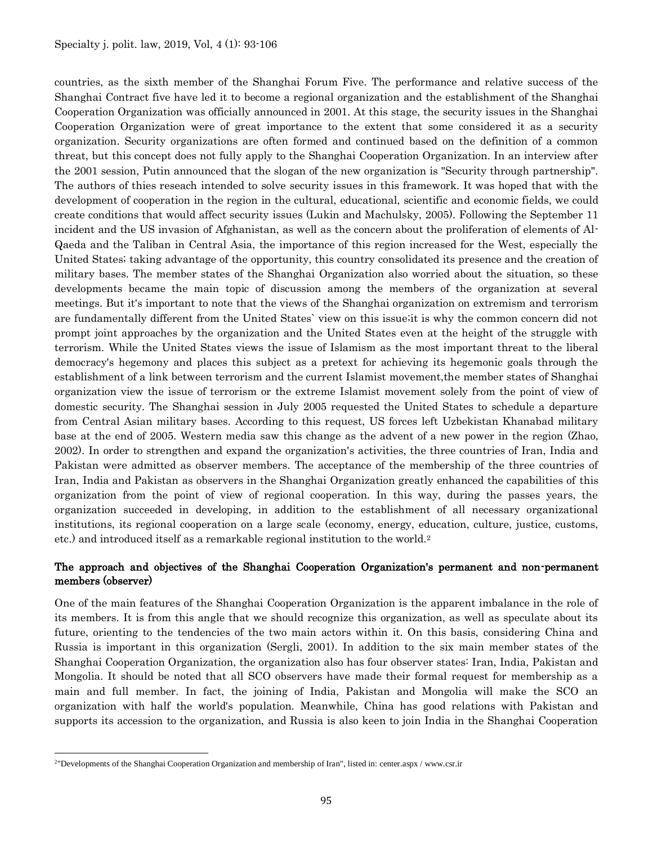countries, as the sixth member of the Shanghai Forum Five. The performance and relative success of the Shanghai Contract five have led it to become a regional organization and the establishment of the Shanghai Cooperation Organization was officially announced in 2001. At this stage, the security issues in the Shanghai Cooperation Organization were of great importance to the extent that some considered it as a security organization. Security organizations are often formed and continued based on the definition of a common threat, but this concept does not fully apply to the Shanghai Cooperation Organization. In an interview after the 2001 session, Putin announced that the slogan of the new organization is "Security through partnership". The authors of thies reseach intended to solve security issues in this framework. It was hoped that with the development of cooperation in the region in the cultural, educational, scientific and economic fields, we could create conditions that would affect security issues (Lukin and Machulsky, 2005). Following the September 11 incident and the US invasion of Afghanistan, as well as the concern about the proliferation of elements of Al-Qaeda and the Taliban in Central Asia, the importance of this region increased for the West, especially the United States; taking advantage of the opportunity, this country consolidated its presence and the creation of military bases. The member states of the Shanghai Organization also worried about the situation, so these developments became the main topic of discussion among the members of the organization at several meetings. But it's important to note that the views of the Shanghai organization on extremism and terrorism are fundamentally different from the United States` view on this issue;it is why the common concern did not prompt joint approaches by the organization and the United States even at the height of the struggle with terrorism. While the United States views the issue of Islamism as the most important threat to the liberal democracy's hegemony and places this subject as a pretext for achieving its hegemonic goals through the establishment of a link between terrorism and the current Islamist movement,the member states of Shanghai organization view the issue of terrorism or the extreme Islamist movement solely from the point of view of domestic security. The Shanghai session in July 2005 requested the United States to schedule a departure from Central Asian military bases. According to this request, US forces left Uzbekistan Khanabad military base at the end of 2005. Western media saw this change as the advent of a new power in the region (Zhao, 2002). In order to strengthen and expand the organization's activities, the three countries of Iran, India and Pakistan were admitted as observer members. The acceptance of the membership of the three countries of Iran, India and Pakistan as observers in the Shanghai Organization greatly enhanced the capabilities of this organization from the point of view of regional cooperation. In this way, during the passes years, the organization succeeded in developing, in addition to the establishment of all necessary organizational institutions, its regional cooperation on a large scale (economy, energy, education, culture, justice, customs, etc.) and introduced itself as a remarkable regional institution to the world.<sup>2</sup>

#### The approach and objectives of the Shanghai Cooperation Organization's permanent and non-permanent members (observer)

One of the main features of the Shanghai Cooperation Organization is the apparent imbalance in the role of its members. It is from this angle that we should recognize this organization, as well as speculate about its future, orienting to the tendencies of the two main actors within it. On this basis, considering China and Russia is important in this organization (Sergli, 2001). In addition to the six main member states of the Shanghai Cooperation Organization, the organization also has four observer states: Iran, India, Pakistan and Mongolia. It should be noted that all SCO observers have made their formal request for membership as a main and full member. In fact, the joining of India, Pakistan and Mongolia will make the SCO an organization with half the world's population. Meanwhile, China has good relations with Pakistan and supports its accession to the organization, and Russia is also keen to join India in the Shanghai Cooperation

 $\overline{a}$ 

<sup>2</sup>"Developments of the Shanghai Cooperation Organization and membership of Iran", listed in: center.aspx / www.csr.ir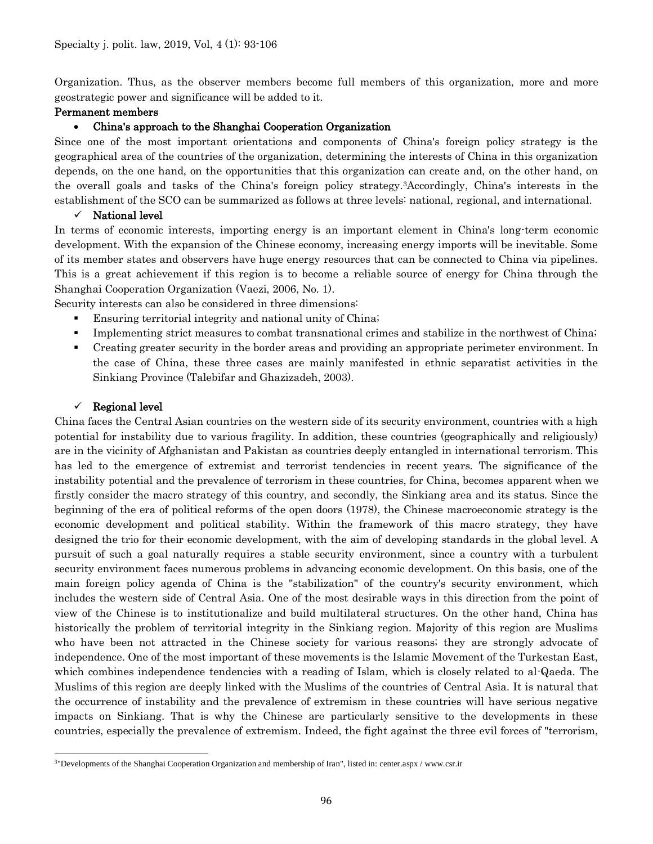Organization. Thus, as the observer members become full members of this organization, more and more geostrategic power and significance will be added to it.

#### Permanent members

#### China's approach to the Shanghai Cooperation Organization

Since one of the most important orientations and components of China's foreign policy strategy is the geographical area of the countries of the organization, determining the interests of China in this organization depends, on the one hand, on the opportunities that this organization can create and, on the other hand, on the overall goals and tasks of the China's foreign policy strategy.3Accordingly, China's interests in the establishment of the SCO can be summarized as follows at three levels: national, regional, and international.

#### $\checkmark$  National level

In terms of economic interests, importing energy is an important element in China's long-term economic development. With the expansion of the Chinese economy, increasing energy imports will be inevitable. Some of its member states and observers have huge energy resources that can be connected to China via pipelines. This is a great achievement if this region is to become a reliable source of energy for China through the Shanghai Cooperation Organization (Vaezi, 2006, No. 1).

Security interests can also be considered in three dimensions:

- Ensuring territorial integrity and national unity of China;
- Implementing strict measures to combat transnational crimes and stabilize in the northwest of China;
- Creating greater security in the border areas and providing an appropriate perimeter environment. In the case of China, these three cases are mainly manifested in ethnic separatist activities in the Sinkiang Province (Talebifar and Ghazizadeh, 2003).

#### $\checkmark$  Regional level

China faces the Central Asian countries on the western side of its security environment, countries with a high potential for instability due to various fragility. In addition, these countries (geographically and religiously) are in the vicinity of Afghanistan and Pakistan as countries deeply entangled in international terrorism. This has led to the emergence of extremist and terrorist tendencies in recent years. The significance of the instability potential and the prevalence of terrorism in these countries, for China, becomes apparent when we firstly consider the macro strategy of this country, and secondly, the Sinkiang area and its status. Since the beginning of the era of political reforms of the open doors (1978), the Chinese macroeconomic strategy is the economic development and political stability. Within the framework of this macro strategy, they have designed the trio for their economic development, with the aim of developing standards in the global level. A pursuit of such a goal naturally requires a stable security environment, since a country with a turbulent security environment faces numerous problems in advancing economic development. On this basis, one of the main foreign policy agenda of China is the "stabilization" of the country's security environment, which includes the western side of Central Asia. One of the most desirable ways in this direction from the point of view of the Chinese is to institutionalize and build multilateral structures. On the other hand, China has historically the problem of territorial integrity in the Sinkiang region. Majority of this region are Muslims who have been not attracted in the Chinese society for various reasons; they are strongly advocate of independence. One of the most important of these movements is the Islamic Movement of the Turkestan East, which combines independence tendencies with a reading of Islam, which is closely related to al-Qaeda. The Muslims of this region are deeply linked with the Muslims of the countries of Central Asia. It is natural that the occurrence of instability and the prevalence of extremism in these countries will have serious negative impacts on Sinkiang. That is why the Chinese are particularly sensitive to the developments in these countries, especially the prevalence of extremism. Indeed, the fight against the three evil forces of "terrorism,

 $\overline{a}$ 3"Developments of the Shanghai Cooperation Organization and membership of Iran", listed in: center.aspx / www.csr.ir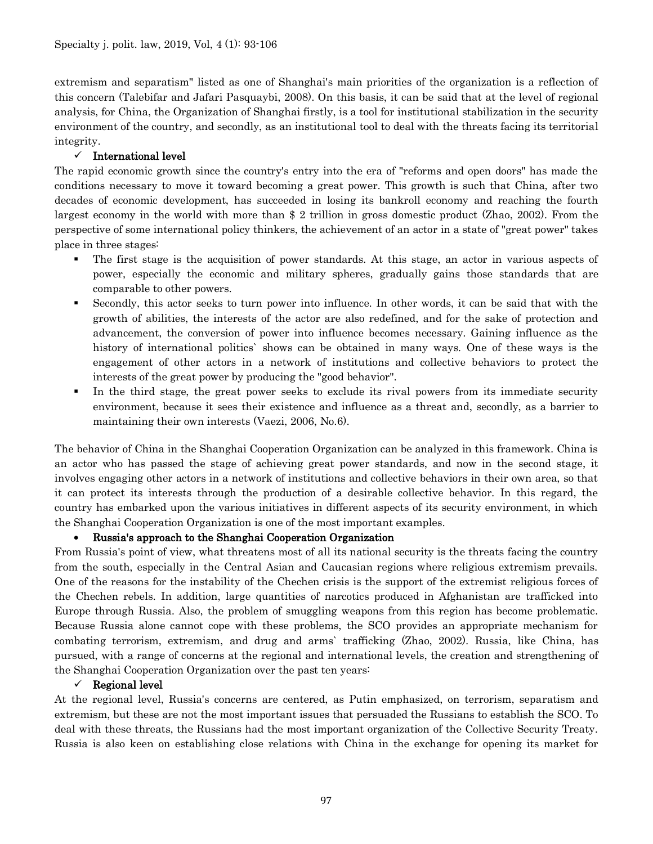extremism and separatism" listed as one of Shanghai's main priorities of the organization is a reflection of this concern (Talebifar and Jafari Pasquaybi, 2008). On this basis, it can be said that at the level of regional analysis, for China, the Organization of Shanghai firstly, is a tool for institutional stabilization in the security environment of the country, and secondly, as an institutional tool to deal with the threats facing its territorial integrity.

#### $\checkmark$  International level

The rapid economic growth since the country's entry into the era of "reforms and open doors" has made the conditions necessary to move it toward becoming a great power. This growth is such that China, after two decades of economic development, has succeeded in losing its bankroll economy and reaching the fourth largest economy in the world with more than \$ 2 trillion in gross domestic product (Zhao, 2002). From the perspective of some international policy thinkers, the achievement of an actor in a state of "great power" takes place in three stages:

- The first stage is the acquisition of power standards. At this stage, an actor in various aspects of power, especially the economic and military spheres, gradually gains those standards that are comparable to other powers.
- Secondly, this actor seeks to turn power into influence. In other words, it can be said that with the growth of abilities, the interests of the actor are also redefined, and for the sake of protection and advancement, the conversion of power into influence becomes necessary. Gaining influence as the history of international politics' shows can be obtained in many ways. One of these ways is the engagement of other actors in a network of institutions and collective behaviors to protect the interests of the great power by producing the "good behavior".
- In the third stage, the great power seeks to exclude its rival powers from its immediate security environment, because it sees their existence and influence as a threat and, secondly, as a barrier to maintaining their own interests (Vaezi, 2006, No.6).

The behavior of China in the Shanghai Cooperation Organization can be analyzed in this framework. China is an actor who has passed the stage of achieving great power standards, and now in the second stage, it involves engaging other actors in a network of institutions and collective behaviors in their own area, so that it can protect its interests through the production of a desirable collective behavior. In this regard, the country has embarked upon the various initiatives in different aspects of its security environment, in which the Shanghai Cooperation Organization is one of the most important examples.

#### Russia's approach to the Shanghai Cooperation Organization

From Russia's point of view, what threatens most of all its national security is the threats facing the country from the south, especially in the Central Asian and Caucasian regions where religious extremism prevails. One of the reasons for the instability of the Chechen crisis is the support of the extremist religious forces of the Chechen rebels. In addition, large quantities of narcotics produced in Afghanistan are trafficked into Europe through Russia. Also, the problem of smuggling weapons from this region has become problematic. Because Russia alone cannot cope with these problems, the SCO provides an appropriate mechanism for combating terrorism, extremism, and drug and arms` trafficking (Zhao, 2002). Russia, like China, has pursued, with a range of concerns at the regional and international levels, the creation and strengthening of the Shanghai Cooperation Organization over the past ten years:

#### $\checkmark$  Regional level

At the regional level, Russia's concerns are centered, as Putin emphasized, on terrorism, separatism and extremism, but these are not the most important issues that persuaded the Russians to establish the SCO. To deal with these threats, the Russians had the most important organization of the Collective Security Treaty. Russia is also keen on establishing close relations with China in the exchange for opening its market for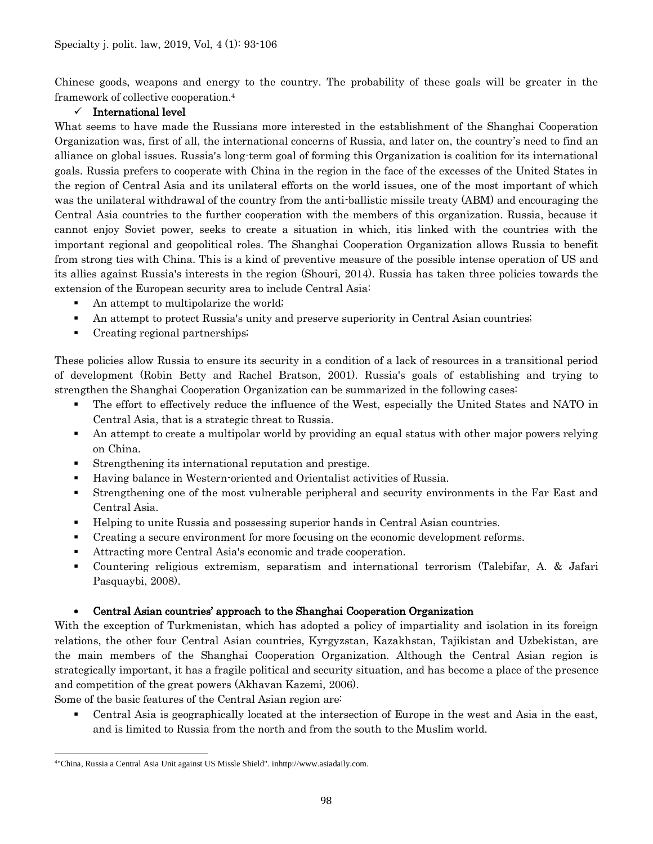Chinese goods, weapons and energy to the country. The probability of these goals will be greater in the framework of collective cooperation.<sup>4</sup>

## $\checkmark$  International level

What seems to have made the Russians more interested in the establishment of the Shanghai Cooperation Organization was, first of all, the international concerns of Russia, and later on, the country's need to find an alliance on global issues. Russia's long-term goal of forming this Organization is coalition for its international goals. Russia prefers to cooperate with China in the region in the face of the excesses of the United States in the region of Central Asia and its unilateral efforts on the world issues, one of the most important of which was the unilateral withdrawal of the country from the anti-ballistic missile treaty (ABM) and encouraging the Central Asia countries to the further cooperation with the members of this organization. Russia, because it cannot enjoy Soviet power, seeks to create a situation in which, itis linked with the countries with the important regional and geopolitical roles. The Shanghai Cooperation Organization allows Russia to benefit from strong ties with China. This is a kind of preventive measure of the possible intense operation of US and its allies against Russia's interests in the region (Shouri, 2014). Russia has taken three policies towards the extension of the European security area to include Central Asia:

- An attempt to multipolarize the world;
- An attempt to protect Russia's unity and preserve superiority in Central Asian countries;
- Creating regional partnerships;

These policies allow Russia to ensure its security in a condition of a lack of resources in a transitional period of development (Robin Betty and Rachel Bratson, 2001). Russia's goals of establishing and trying to strengthen the Shanghai Cooperation Organization can be summarized in the following cases:

- The effort to effectively reduce the influence of the West, especially the United States and NATO in Central Asia, that is a strategic threat to Russia.
- An attempt to create a multipolar world by providing an equal status with other major powers relying on China.
- Strengthening its international reputation and prestige.
- Having balance in Western-oriented and Orientalist activities of Russia.
- Strengthening one of the most vulnerable peripheral and security environments in the Far East and Central Asia.
- Helping to unite Russia and possessing superior hands in Central Asian countries.
- Creating a secure environment for more focusing on the economic development reforms.
- Attracting more Central Asia's economic and trade cooperation.
- Countering religious extremism, separatism and international terrorism (Talebifar, A. & Jafari Pasquaybi, 2008).

#### Central Asian countries' approach to the Shanghai Cooperation Organization

With the exception of Turkmenistan, which has adopted a policy of impartiality and isolation in its foreign relations, the other four Central Asian countries, Kyrgyzstan, Kazakhstan, Tajikistan and Uzbekistan, are the main members of the Shanghai Cooperation Organization. Although the Central Asian region is strategically important, it has a fragile political and security situation, and has become a place of the presence and competition of the great powers (Akhavan Kazemi, 2006).

Some of the basic features of the Central Asian region are:

 Central Asia is geographically located at the intersection of Europe in the west and Asia in the east, and is limited to Russia from the north and from the south to the Muslim world.

 $\overline{a}$ 4"China, Russia a Central Asia Unit against US Missle Shield". inhttp://www.asiadaily.com.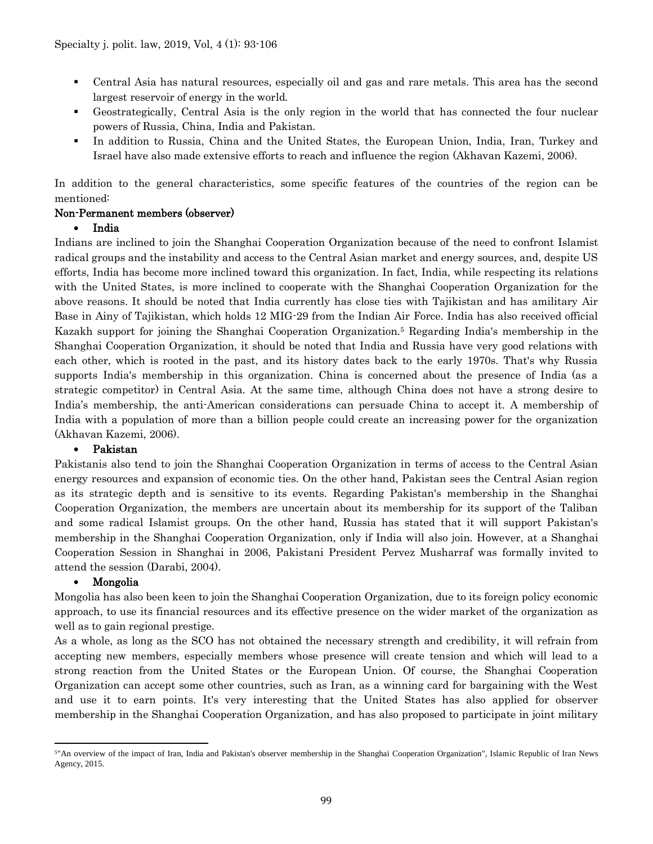- Central Asia has natural resources, especially oil and gas and rare metals. This area has the second largest reservoir of energy in the world.
- Geostrategically, Central Asia is the only region in the world that has connected the four nuclear powers of Russia, China, India and Pakistan.
- In addition to Russia, China and the United States, the European Union, India, Iran, Turkey and Israel have also made extensive efforts to reach and influence the region (Akhavan Kazemi, 2006).

In addition to the general characteristics, some specific features of the countries of the region can be mentioned:

## Non-Permanent members (observer)

#### • India

Indians are inclined to join the Shanghai Cooperation Organization because of the need to confront Islamist radical groups and the instability and access to the Central Asian market and energy sources, and, despite US efforts, India has become more inclined toward this organization. In fact, India, while respecting its relations with the United States, is more inclined to cooperate with the Shanghai Cooperation Organization for the above reasons. It should be noted that India currently has close ties with Tajikistan and has amilitary Air Base in Ainy of Tajikistan, which holds 12 MIG-29 from the Indian Air Force. India has also received official Kazakh support for joining the Shanghai Cooperation Organization.<sup>5</sup> Regarding India's membership in the Shanghai Cooperation Organization, it should be noted that India and Russia have very good relations with each other, which is rooted in the past, and its history dates back to the early 1970s. That's why Russia supports India's membership in this organization. China is concerned about the presence of India (as a strategic competitor) in Central Asia. At the same time, although China does not have a strong desire to India's membership, the anti-American considerations can persuade China to accept it. A membership of India with a population of more than a billion people could create an increasing power for the organization (Akhavan Kazemi, 2006).

#### Pakistan

Pakistanis also tend to join the Shanghai Cooperation Organization in terms of access to the Central Asian energy resources and expansion of economic ties. On the other hand, Pakistan sees the Central Asian region as its strategic depth and is sensitive to its events. Regarding Pakistan's membership in the Shanghai Cooperation Organization, the members are uncertain about its membership for its support of the Taliban and some radical Islamist groups. On the other hand, Russia has stated that it will support Pakistan's membership in the Shanghai Cooperation Organization, only if India will also join. However, at a Shanghai Cooperation Session in Shanghai in 2006, Pakistani President Pervez Musharraf was formally invited to attend the session (Darabi, 2004).

## Mongolia

Mongolia has also been keen to join the Shanghai Cooperation Organization, due to its foreign policy economic approach, to use its financial resources and its effective presence on the wider market of the organization as well as to gain regional prestige.

As a whole, as long as the SCO has not obtained the necessary strength and credibility, it will refrain from accepting new members, especially members whose presence will create tension and which will lead to a strong reaction from the United States or the European Union. Of course, the Shanghai Cooperation Organization can accept some other countries, such as Iran, as a winning card for bargaining with the West and use it to earn points. It's very interesting that the United States has also applied for observer membership in the Shanghai Cooperation Organization, and has also proposed to participate in joint military

 $\overline{a}$ <sup>5</sup>"An overview of the impact of Iran, India and Pakistan's observer membership in the Shanghai Cooperation Organization", Islamic Republic of Iran News Agency, 2015.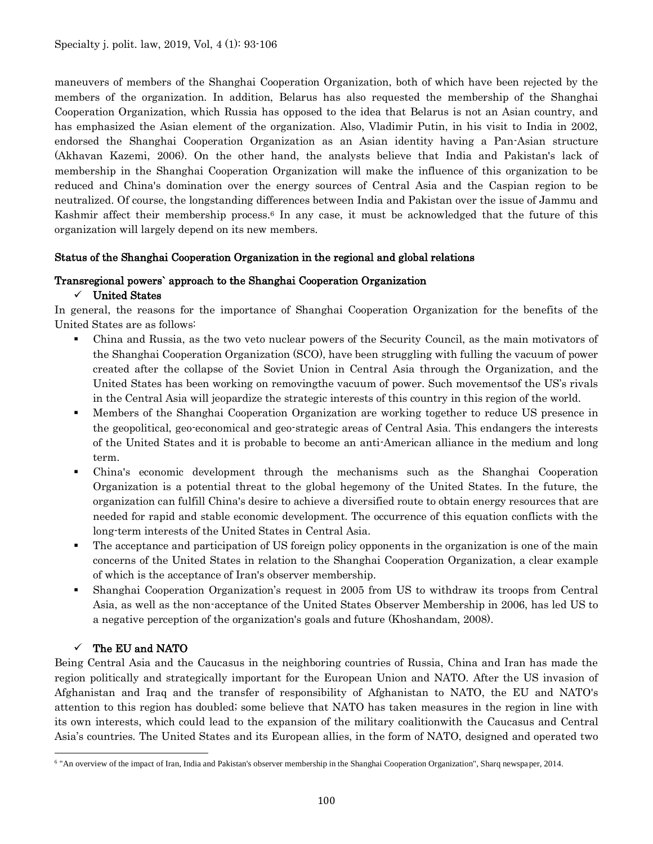maneuvers of members of the Shanghai Cooperation Organization, both of which have been rejected by the members of the organization. In addition, Belarus has also requested the membership of the Shanghai Cooperation Organization, which Russia has opposed to the idea that Belarus is not an Asian country, and has emphasized the Asian element of the organization. Also, Vladimir Putin, in his visit to India in 2002, endorsed the Shanghai Cooperation Organization as an Asian identity having a Pan-Asian structure (Akhavan Kazemi, 2006). On the other hand, the analysts believe that India and Pakistan's lack of membership in the Shanghai Cooperation Organization will make the influence of this organization to be reduced and China's domination over the energy sources of Central Asia and the Caspian region to be neutralized. Of course, the longstanding differences between India and Pakistan over the issue of Jammu and Kashmir affect their membership process.<sup>6</sup> In any case, it must be acknowledged that the future of this organization will largely depend on its new members.

#### Status of the Shanghai Cooperation Organization in the regional and global relations

#### Transregional powers` approach to the Shanghai Cooperation Organization

#### $\checkmark$  United States

In general, the reasons for the importance of Shanghai Cooperation Organization for the benefits of the United States are as follows:

- China and Russia, as the two veto nuclear powers of the Security Council, as the main motivators of the Shanghai Cooperation Organization (SCO), have been struggling with fulling the vacuum of power created after the collapse of the Soviet Union in Central Asia through the Organization, and the United States has been working on removingthe vacuum of power. Such movementsof the US's rivals in the Central Asia will jeopardize the strategic interests of this country in this region of the world.
- Members of the Shanghai Cooperation Organization are working together to reduce US presence in the geopolitical, geo-economical and geo-strategic areas of Central Asia. This endangers the interests of the United States and it is probable to become an anti-American alliance in the medium and long term.
- China's economic development through the mechanisms such as the Shanghai Cooperation Organization is a potential threat to the global hegemony of the United States. In the future, the organization can fulfill China's desire to achieve a diversified route to obtain energy resources that are needed for rapid and stable economic development. The occurrence of this equation conflicts with the long-term interests of the United States in Central Asia.
- The acceptance and participation of US foreign policy opponents in the organization is one of the main concerns of the United States in relation to the Shanghai Cooperation Organization, a clear example of which is the acceptance of Iran's observer membership.
- Shanghai Cooperation Organization's request in 2005 from US to withdraw its troops from Central Asia, as well as the non-acceptance of the United States Observer Membership in 2006, has led US to a negative perception of the organization's goals and future (Khoshandam, 2008).

## $\checkmark$  The EU and NATO

Being Central Asia and the Caucasus in the neighboring countries of Russia, China and Iran has made the region politically and strategically important for the European Union and NATO. After the US invasion of Afghanistan and Iraq and the transfer of responsibility of Afghanistan to NATO, the EU and NATO's attention to this region has doubled; some believe that NATO has taken measures in the region in line with its own interests, which could lead to the expansion of the military coalitionwith the Caucasus and Central Asia's countries. The United States and its European allies, in the form of NATO, designed and operated two

 $\overline{a}$ <sup>6</sup> "An overview of the impact of Iran, India and Pakistan's observer membership in the Shanghai Cooperation Organization", Sharq newspa per, 2014.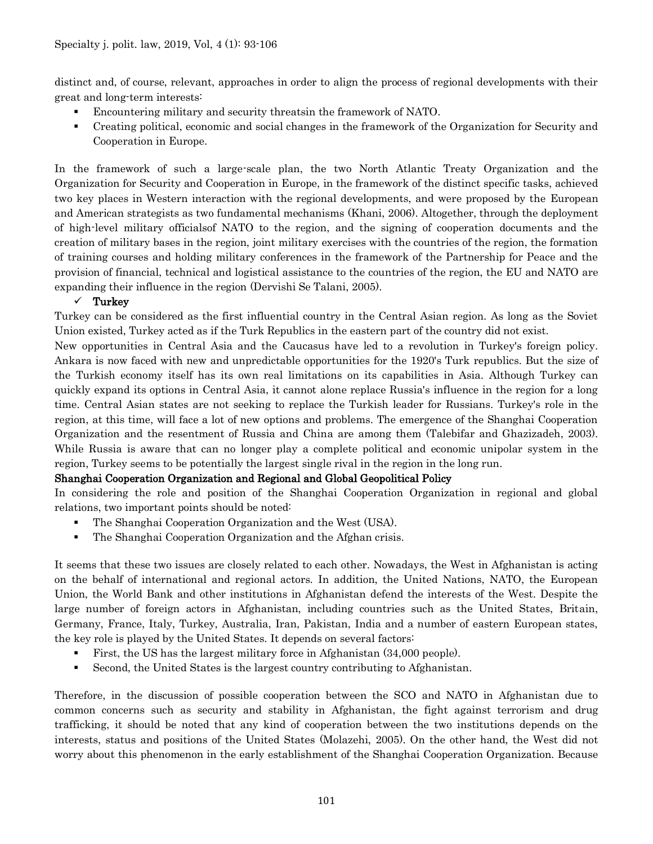distinct and, of course, relevant, approaches in order to align the process of regional developments with their great and long-term interests:

- Encountering military and security threatsin the framework of NATO.
- Creating political, economic and social changes in the framework of the Organization for Security and Cooperation in Europe.

In the framework of such a large-scale plan, the two North Atlantic Treaty Organization and the Organization for Security and Cooperation in Europe, in the framework of the distinct specific tasks, achieved two key places in Western interaction with the regional developments, and were proposed by the European and American strategists as two fundamental mechanisms (Khani, 2006). Altogether, through the deployment of high-level military officialsof NATO to the region, and the signing of cooperation documents and the creation of military bases in the region, joint military exercises with the countries of the region, the formation of training courses and holding military conferences in the framework of the Partnership for Peace and the provision of financial, technical and logistical assistance to the countries of the region, the EU and NATO are expanding their influence in the region (Dervishi Se Talani, 2005).

## $\checkmark$  Turkey

Turkey can be considered as the first influential country in the Central Asian region. As long as the Soviet Union existed, Turkey acted as if the Turk Republics in the eastern part of the country did not exist.

New opportunities in Central Asia and the Caucasus have led to a revolution in Turkey's foreign policy. Ankara is now faced with new and unpredictable opportunities for the 1920's Turk republics. But the size of the Turkish economy itself has its own real limitations on its capabilities in Asia. Although Turkey can quickly expand its options in Central Asia, it cannot alone replace Russia's influence in the region for a long time. Central Asian states are not seeking to replace the Turkish leader for Russians. Turkey's role in the region, at this time, will face a lot of new options and problems. The emergence of the Shanghai Cooperation Organization and the resentment of Russia and China are among them (Talebifar and Ghazizadeh, 2003). While Russia is aware that can no longer play a complete political and economic unipolar system in the region, Turkey seems to be potentially the largest single rival in the region in the long run.

#### Shanghai Cooperation Organization and Regional and Global Geopolitical Policy

In considering the role and position of the Shanghai Cooperation Organization in regional and global relations, two important points should be noted:

- The Shanghai Cooperation Organization and the West (USA).
- The Shanghai Cooperation Organization and the Afghan crisis.

It seems that these two issues are closely related to each other. Nowadays, the West in Afghanistan is acting on the behalf of international and regional actors. In addition, the United Nations, NATO, the European Union, the World Bank and other institutions in Afghanistan defend the interests of the West. Despite the large number of foreign actors in Afghanistan, including countries such as the United States, Britain, Germany, France, Italy, Turkey, Australia, Iran, Pakistan, India and a number of eastern European states, the key role is played by the United States. It depends on several factors:

- First, the US has the largest military force in Afghanistan (34,000 people).
- Second, the United States is the largest country contributing to Afghanistan.

Therefore, in the discussion of possible cooperation between the SCO and NATO in Afghanistan due to common concerns such as security and stability in Afghanistan, the fight against terrorism and drug trafficking, it should be noted that any kind of cooperation between the two institutions depends on the interests, status and positions of the United States (Molazehi, 2005). On the other hand, the West did not worry about this phenomenon in the early establishment of the Shanghai Cooperation Organization. Because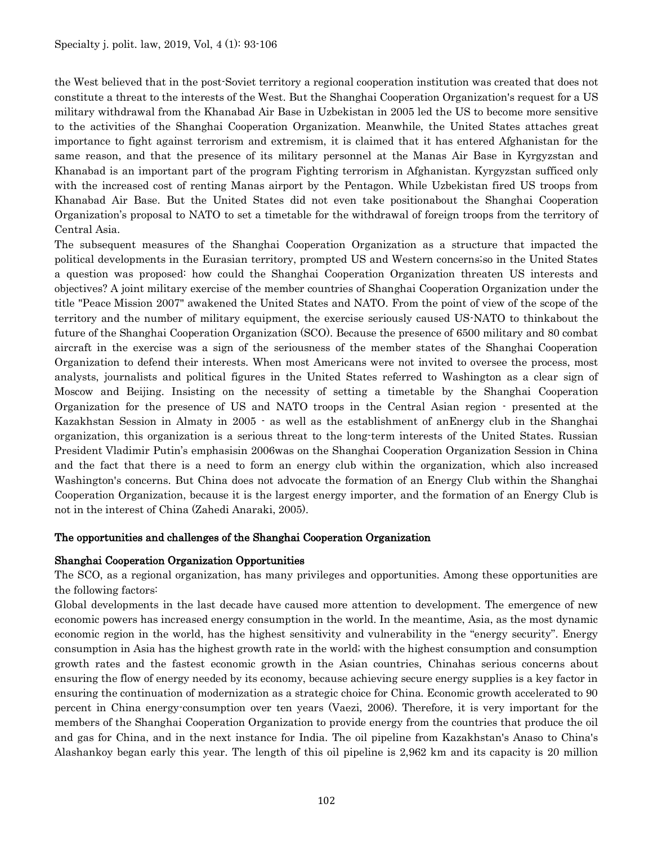the West believed that in the post-Soviet territory a regional cooperation institution was created that does not constitute a threat to the interests of the West. But the Shanghai Cooperation Organization's request for a US military withdrawal from the Khanabad Air Base in Uzbekistan in 2005 led the US to become more sensitive to the activities of the Shanghai Cooperation Organization. Meanwhile, the United States attaches great importance to fight against terrorism and extremism, it is claimed that it has entered Afghanistan for the same reason, and that the presence of its military personnel at the Manas Air Base in Kyrgyzstan and Khanabad is an important part of the program Fighting terrorism in Afghanistan. Kyrgyzstan sufficed only with the increased cost of renting Manas airport by the Pentagon. While Uzbekistan fired US troops from Khanabad Air Base. But the United States did not even take positionabout the Shanghai Cooperation Organization's proposal to NATO to set a timetable for the withdrawal of foreign troops from the territory of Central Asia.

The subsequent measures of the Shanghai Cooperation Organization as a structure that impacted the political developments in the Eurasian territory, prompted US and Western concerns;so in the United States a question was proposed: how could the Shanghai Cooperation Organization threaten US interests and objectives? A joint military exercise of the member countries of Shanghai Cooperation Organization under the title "Peace Mission 2007" awakened the United States and NATO. From the point of view of the scope of the territory and the number of military equipment, the exercise seriously caused US-NATO to thinkabout the future of the Shanghai Cooperation Organization (SCO). Because the presence of 6500 military and 80 combat aircraft in the exercise was a sign of the seriousness of the member states of the Shanghai Cooperation Organization to defend their interests. When most Americans were not invited to oversee the process, most analysts, journalists and political figures in the United States referred to Washington as a clear sign of Moscow and Beijing. Insisting on the necessity of setting a timetable by the Shanghai Cooperation Organization for the presence of US and NATO troops in the Central Asian region - presented at the Kazakhstan Session in Almaty in 2005 - as well as the establishment of anEnergy club in the Shanghai organization, this organization is a serious threat to the long-term interests of the United States. Russian President Vladimir Putin's emphasisin 2006was on the Shanghai Cooperation Organization Session in China and the fact that there is a need to form an energy club within the organization, which also increased Washington's concerns. But China does not advocate the formation of an Energy Club within the Shanghai Cooperation Organization, because it is the largest energy importer, and the formation of an Energy Club is not in the interest of China (Zahedi Anaraki, 2005).

#### The opportunities and challenges of the Shanghai Cooperation Organization

#### Shanghai Cooperation Organization Opportunities

The SCO, as a regional organization, has many privileges and opportunities. Among these opportunities are the following factors:

Global developments in the last decade have caused more attention to development. The emergence of new economic powers has increased energy consumption in the world. In the meantime, Asia, as the most dynamic economic region in the world, has the highest sensitivity and vulnerability in the "energy security". Energy consumption in Asia has the highest growth rate in the world; with the highest consumption and consumption growth rates and the fastest economic growth in the Asian countries, Chinahas serious concerns about ensuring the flow of energy needed by its economy, because achieving secure energy supplies is a key factor in ensuring the continuation of modernization as a strategic choice for China. Economic growth accelerated to 90 percent in China energy-consumption over ten years (Vaezi, 2006). Therefore, it is very important for the members of the Shanghai Cooperation Organization to provide energy from the countries that produce the oil and gas for China, and in the next instance for India. The oil pipeline from Kazakhstan's Anaso to China's Alashankoy began early this year. The length of this oil pipeline is 2,962 km and its capacity is 20 million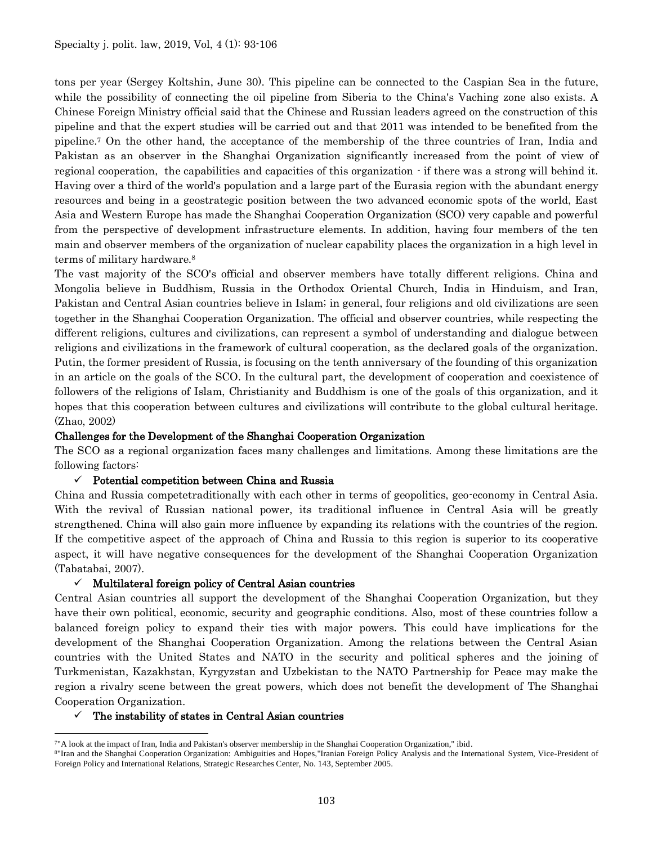tons per year (Sergey Koltshin, June 30). This pipeline can be connected to the Caspian Sea in the future, while the possibility of connecting the oil pipeline from Siberia to the China's Vaching zone also exists. A Chinese Foreign Ministry official said that the Chinese and Russian leaders agreed on the construction of this pipeline and that the expert studies will be carried out and that 2011 was intended to be benefited from the pipeline.<sup>7</sup> On the other hand, the acceptance of the membership of the three countries of Iran, India and Pakistan as an observer in the Shanghai Organization significantly increased from the point of view of regional cooperation, the capabilities and capacities of this organization - if there was a strong will behind it. Having over a third of the world's population and a large part of the Eurasia region with the abundant energy resources and being in a geostrategic position between the two advanced economic spots of the world, East Asia and Western Europe has made the Shanghai Cooperation Organization (SCO) very capable and powerful from the perspective of development infrastructure elements. In addition, having four members of the ten main and observer members of the organization of nuclear capability places the organization in a high level in terms of military hardware.<sup>8</sup>

The vast majority of the SCO's official and observer members have totally different religions. China and Mongolia believe in Buddhism, Russia in the Orthodox Oriental Church, India in Hinduism, and Iran, Pakistan and Central Asian countries believe in Islam; in general, four religions and old civilizations are seen together in the Shanghai Cooperation Organization. The official and observer countries, while respecting the different religions, cultures and civilizations, can represent a symbol of understanding and dialogue between religions and civilizations in the framework of cultural cooperation, as the declared goals of the organization. Putin, the former president of Russia, is focusing on the tenth anniversary of the founding of this organization in an article on the goals of the SCO. In the cultural part, the development of cooperation and coexistence of followers of the religions of Islam, Christianity and Buddhism is one of the goals of this organization, and it hopes that this cooperation between cultures and civilizations will contribute to the global cultural heritage. (Zhao, 2002)

#### Challenges for the Development of the Shanghai Cooperation Organization

The SCO as a regional organization faces many challenges and limitations. Among these limitations are the following factors:

## $\checkmark$  Potential competition between China and Russia

China and Russia competetraditionally with each other in terms of geopolitics, geo-economy in Central Asia. With the revival of Russian national power, its traditional influence in Central Asia will be greatly strengthened. China will also gain more influence by expanding its relations with the countries of the region. If the competitive aspect of the approach of China and Russia to this region is superior to its cooperative aspect, it will have negative consequences for the development of the Shanghai Cooperation Organization (Tabatabai, 2007).

## $\checkmark$  Multilateral foreign policy of Central Asian countries

Central Asian countries all support the development of the Shanghai Cooperation Organization, but they have their own political, economic, security and geographic conditions. Also, most of these countries follow a balanced foreign policy to expand their ties with major powers. This could have implications for the development of the Shanghai Cooperation Organization. Among the relations between the Central Asian countries with the United States and NATO in the security and political spheres and the joining of Turkmenistan, Kazakhstan, Kyrgyzstan and Uzbekistan to the NATO Partnership for Peace may make the region a rivalry scene between the great powers, which does not benefit the development of The Shanghai Cooperation Organization.

#### $\checkmark$  The instability of states in Central Asian countries

 $\overline{a}$ 

<sup>7</sup>"A look at the impact of Iran, India and Pakistan's observer membership in the Shanghai Cooperation Organization," ibid.

<sup>&</sup>lt;sup>8</sup>"Iran and the Shanghai Cooperation Organization: Ambiguities and Hopes,"Iranian Foreign Policy Analysis and the International System, Vice-President of Foreign Policy and International Relations, Strategic Researches Center, No. 143, September 2005.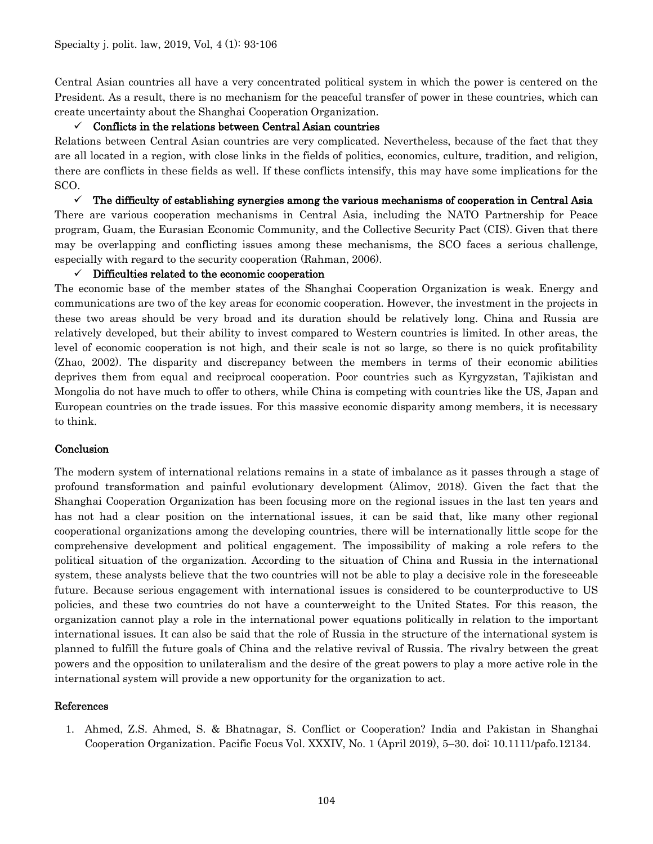Central Asian countries all have a very concentrated political system in which the power is centered on the President. As a result, there is no mechanism for the peaceful transfer of power in these countries, which can create uncertainty about the Shanghai Cooperation Organization.

#### $\checkmark$  Conflicts in the relations between Central Asian countries

Relations between Central Asian countries are very complicated. Nevertheless, because of the fact that they are all located in a region, with close links in the fields of politics, economics, culture, tradition, and religion, there are conflicts in these fields as well. If these conflicts intensify, this may have some implications for the SCO.

 $\checkmark$  The difficulty of establishing synergies among the various mechanisms of cooperation in Central Asia There are various cooperation mechanisms in Central Asia, including the NATO Partnership for Peace program, Guam, the Eurasian Economic Community, and the Collective Security Pact (CIS). Given that there may be overlapping and conflicting issues among these mechanisms, the SCO faces a serious challenge, especially with regard to the security cooperation (Rahman, 2006).

#### $\checkmark$  Difficulties related to the economic cooperation

The economic base of the member states of the Shanghai Cooperation Organization is weak. Energy and communications are two of the key areas for economic cooperation. However, the investment in the projects in these two areas should be very broad and its duration should be relatively long. China and Russia are relatively developed, but their ability to invest compared to Western countries is limited. In other areas, the level of economic cooperation is not high, and their scale is not so large, so there is no quick profitability (Zhao, 2002). The disparity and discrepancy between the members in terms of their economic abilities deprives them from equal and reciprocal cooperation. Poor countries such as Kyrgyzstan, Tajikistan and Mongolia do not have much to offer to others, while China is competing with countries like the US, Japan and European countries on the trade issues. For this massive economic disparity among members, it is necessary to think.

#### **Conclusion**

The modern system of international relations remains in a state of imbalance as it passes through a stage of profound transformation and painful evolutionary development (Alimov, 2018). Given the fact that the Shanghai Cooperation Organization has been focusing more on the regional issues in the last ten years and has not had a clear position on the international issues, it can be said that, like many other regional cooperational organizations among the developing countries, there will be internationally little scope for the comprehensive development and political engagement. The impossibility of making a role refers to the political situation of the organization. According to the situation of China and Russia in the international system, these analysts believe that the two countries will not be able to play a decisive role in the foreseeable future. Because serious engagement with international issues is considered to be counterproductive to US policies, and these two countries do not have a counterweight to the United States. For this reason, the organization cannot play a role in the international power equations politically in relation to the important international issues. It can also be said that the role of Russia in the structure of the international system is planned to fulfill the future goals of China and the relative revival of Russia. The rivalry between the great powers and the opposition to unilateralism and the desire of the great powers to play a more active role in the international system will provide a new opportunity for the organization to act.

#### References

1. Ahmed, Z.S. Ahmed, S. & Bhatnagar, S. Conflict or Cooperation? India and Pakistan in Shanghai Cooperation Organization. Pacific Focus Vol. XXXIV, No. 1 (April 2019), 5–30. doi: 10.1111/pafo.12134.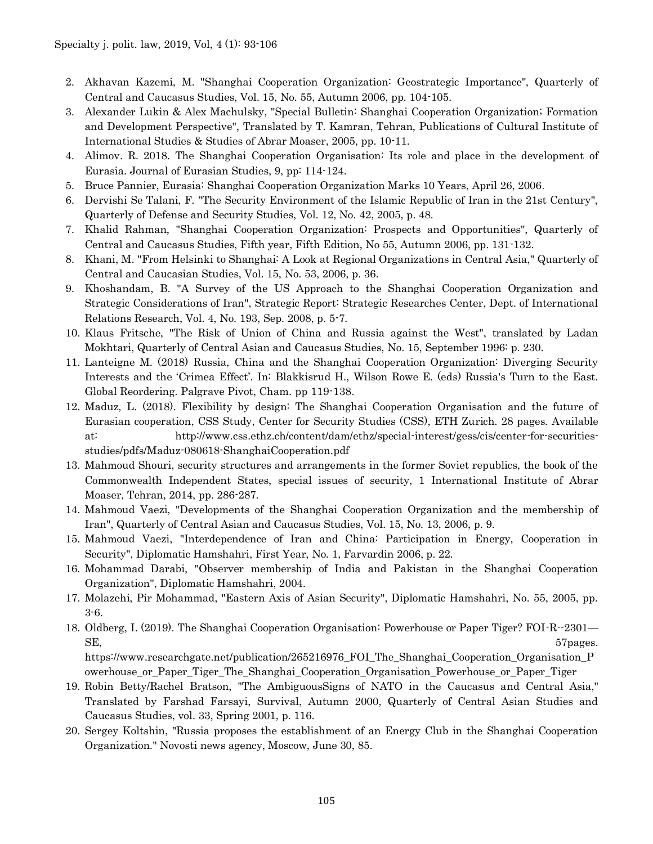- 2. Akhavan Kazemi, M. "Shanghai Cooperation Organization: Geostrategic Importance", Quarterly of Central and Caucasus Studies, Vol. 15, No. 55, Autumn 2006, pp. 104-105.
- 3. Alexander Lukin & Alex Machulsky, "Special Bulletin: Shanghai Cooperation Organization; Formation and Development Perspective", Translated by T. Kamran, Tehran, Publications of Cultural Institute of International Studies & Studies of Abrar Moaser, 2005, pp. 10-11.
- 4. Alimov. R. 2018. The Shanghai Cooperation Organisation: Its role and place in the development of Eurasia. Journal of Eurasian Studies, 9, pp: 114-124.
- 5. Bruce Pannier, Eurasia: Shanghai Cooperation Organization Marks 10 Years, April 26, 2006.
- 6. Dervishi Se Talani, F. "The Security Environment of the Islamic Republic of Iran in the 21st Century", Quarterly of Defense and Security Studies, Vol. 12, No. 42, 2005, p. 48.
- 7. Khalid Rahman, "Shanghai Cooperation Organization: Prospects and Opportunities", Quarterly of Central and Caucasus Studies, Fifth year, Fifth Edition, No 55, Autumn 2006, pp. 131-132.
- 8. Khani, M. "From Helsinki to Shanghai: A Look at Regional Organizations in Central Asia," Quarterly of Central and Caucasian Studies, Vol. 15, No. 53, 2006, p. 36.
- 9. Khoshandam, B. "A Survey of the US Approach to the Shanghai Cooperation Organization and Strategic Considerations of Iran", Strategic Report: Strategic Researches Center, Dept. of International Relations Research, Vol. 4, No. 193, Sep. 2008, p. 5-7.
- 10. Klaus Fritsche, "The Risk of Union of China and Russia against the West", translated by Ladan Mokhtari, Quarterly of Central Asian and Caucasus Studies, No. 15, September 1996: p. 230.
- 11. Lanteigne M. (2018) Russia, China and the Shanghai Cooperation Organization: Diverging Security Interests and the 'Crimea Effect'. In: Blakkisrud H., Wilson Rowe E. (eds) Russia's Turn to the East. Global Reordering. Palgrave Pivot, Cham. pp 119-138.
- 12. Maduz, L. (2018). Flexibility by design: The Shanghai Cooperation Organisation and the future of Eurasian cooperation, CSS Study, Center for Security Studies (CSS), ETH Zurich. 28 pages. Available at: [http://www.css.ethz.ch/content/dam/ethz/special-interest/gess/cis/center-for-securities](http://www.css.ethz.ch/content/dam/ethz/special-interest/gess/cis/center-for-securities-studies/pdfs/Maduz-080618-ShanghaiCooperation.pdf)[studies/pdfs/Maduz-080618-ShanghaiCooperation.pdf](http://www.css.ethz.ch/content/dam/ethz/special-interest/gess/cis/center-for-securities-studies/pdfs/Maduz-080618-ShanghaiCooperation.pdf)
- 13. Mahmoud Shouri, security structures and arrangements in the former Soviet republics, the book of the Commonwealth Independent States, special issues of security, 1 International Institute of Abrar Moaser, Tehran, 2014, pp. 286-287.
- 14. Mahmoud Vaezi, "Developments of the Shanghai Cooperation Organization and the membership of Iran", Quarterly of Central Asian and Caucasus Studies, Vol. 15, No. 13, 2006, p. 9.
- 15. Mahmoud Vaezi, "Interdependence of Iran and China: Participation in Energy, Cooperation in Security", Diplomatic Hamshahri, First Year, No. 1, Farvardin 2006, p. 22.
- 16. Mohammad Darabi, "Observer membership of India and Pakistan in the Shanghai Cooperation Organization", Diplomatic Hamshahri, 2004.
- 17. Molazehi, Pir Mohammad, "Eastern Axis of Asian Security", Diplomatic Hamshahri, No. 55, 2005, pp. 3-6.
- 18. Oldberg, I. (2019). The Shanghai Cooperation Organisation: Powerhouse or Paper Tiger? FOI-R--2301— SE, 57 pages.

[https://www.researchgate.net/publication/265216976\\_FOI\\_The\\_Shanghai\\_Cooperation\\_Organisation\\_P](https://www.researchgate.net/publication/265216976_FOI_The_Shanghai_Cooperation_Organisation_Powerhouse_or_Paper_Tiger_The_Shanghai_Cooperation_Organisation_Powerhouse_or_Paper_Tiger) [owerhouse\\_or\\_Paper\\_Tiger\\_The\\_Shanghai\\_Cooperation\\_Organisation\\_Powerhouse\\_or\\_Paper\\_Tiger](https://www.researchgate.net/publication/265216976_FOI_The_Shanghai_Cooperation_Organisation_Powerhouse_or_Paper_Tiger_The_Shanghai_Cooperation_Organisation_Powerhouse_or_Paper_Tiger)

- 19. Robin Betty/Rachel Bratson, "The AmbiguousSigns of NATO in the Caucasus and Central Asia," Translated by Farshad Farsayi, Survival, Autumn 2000, Quarterly of Central Asian Studies and Caucasus Studies, vol. 33, Spring 2001, p. 116.
- 20. Sergey Koltshin, "Russia proposes the establishment of an Energy Club in the Shanghai Cooperation Organization." Novosti news agency, Moscow, June 30, 85.